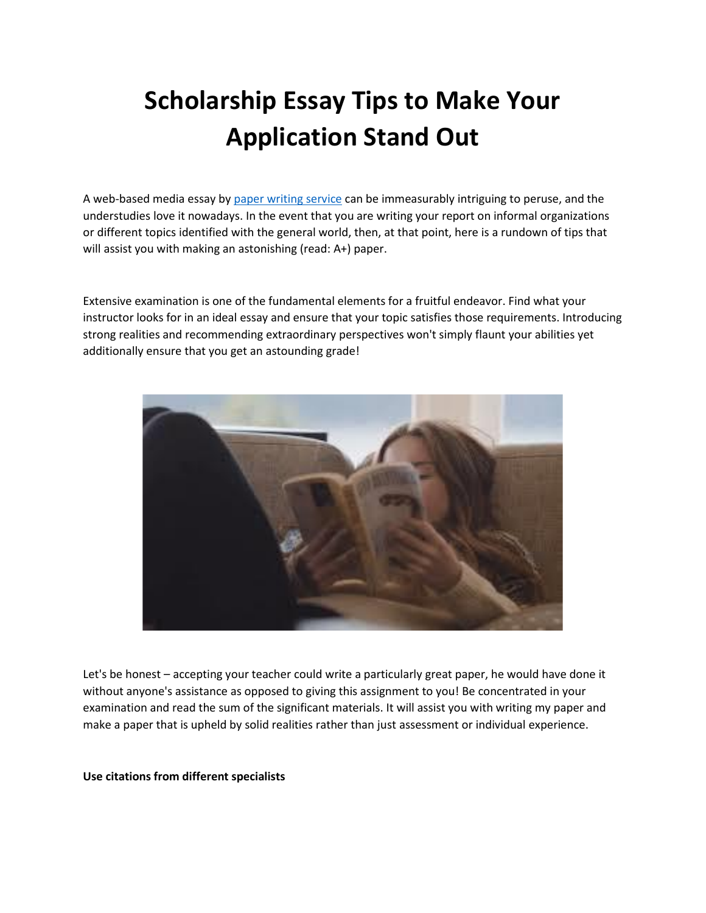# **Scholarship Essay Tips to Make Your Application Stand Out**

A web-based media essay by [paper writing service](https://www.myperfectwords.com/) can be immeasurably intriguing to peruse, and the understudies love it nowadays. In the event that you are writing your report on informal organizations or different topics identified with the general world, then, at that point, here is a rundown of tips that will assist you with making an astonishing (read: A+) paper.

Extensive examination is one of the fundamental elements for a fruitful endeavor. Find what your instructor looks for in an ideal essay and ensure that your topic satisfies those requirements. Introducing strong realities and recommending extraordinary perspectives won't simply flaunt your abilities yet additionally ensure that you get an astounding grade!



Let's be honest – accepting your teacher could write a particularly great paper, he would have done it without anyone's assistance as opposed to giving this assignment to you! Be concentrated in your examination and read the sum of the significant materials. It will assist you with writing my paper and make a paper that is upheld by solid realities rather than just assessment or individual experience.

**Use citations from different specialists**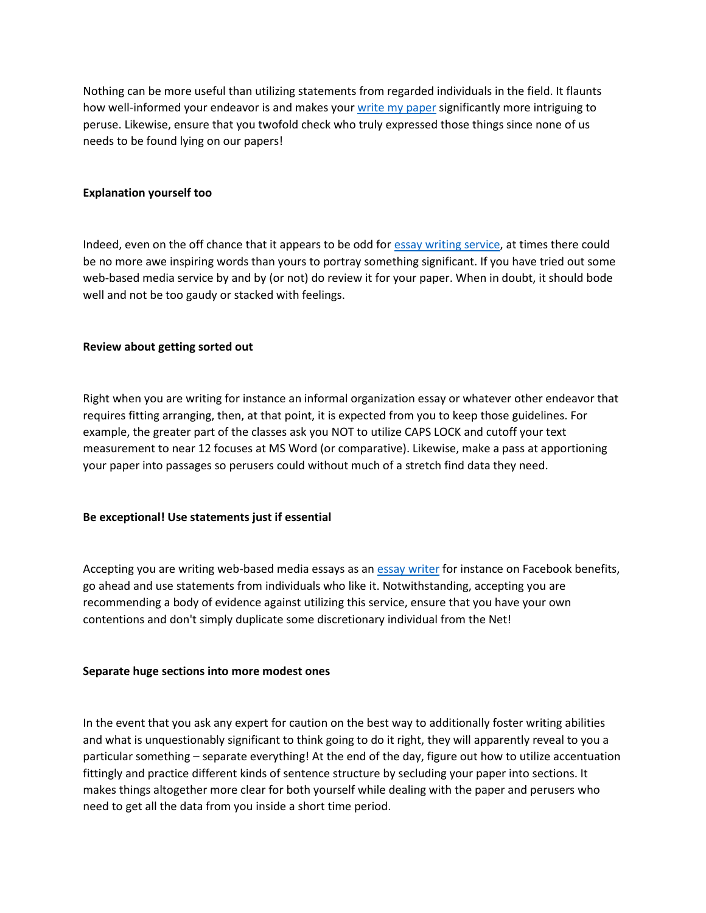Nothing can be more useful than utilizing statements from regarded individuals in the field. It flaunts how well-informed your endeavor is and makes your [write my paper](https://www.freeessaywriter.net/) significantly more intriguing to peruse. Likewise, ensure that you twofold check who truly expressed those things since none of us needs to be found lying on our papers!

# **Explanation yourself too**

Indeed, even on the off chance that it appears to be odd for **essay writing service**, at times there could be no more awe inspiring words than yours to portray something significant. If you have tried out some web-based media service by and by (or not) do review it for your paper. When in doubt, it should bode well and not be too gaudy or stacked with feelings.

## **Review about getting sorted out**

Right when you are writing for instance an informal organization essay or whatever other endeavor that requires fitting arranging, then, at that point, it is expected from you to keep those guidelines. For example, the greater part of the classes ask you NOT to utilize CAPS LOCK and cutoff your text measurement to near 12 focuses at MS Word (or comparative). Likewise, make a pass at apportioning your paper into passages so perusers could without much of a stretch find data they need.

#### **Be exceptional! Use statements just if essential**

Accepting you are writing web-based media essays as an [essay writer](https://www.myperfectpaper.net/) for instance on Facebook benefits, go ahead and use statements from individuals who like it. Notwithstanding, accepting you are recommending a body of evidence against utilizing this service, ensure that you have your own contentions and don't simply duplicate some discretionary individual from the Net!

#### **Separate huge sections into more modest ones**

In the event that you ask any expert for caution on the best way to additionally foster writing abilities and what is unquestionably significant to think going to do it right, they will apparently reveal to you a particular something – separate everything! At the end of the day, figure out how to utilize accentuation fittingly and practice different kinds of sentence structure by secluding your paper into sections. It makes things altogether more clear for both yourself while dealing with the paper and perusers who need to get all the data from you inside a short time period.